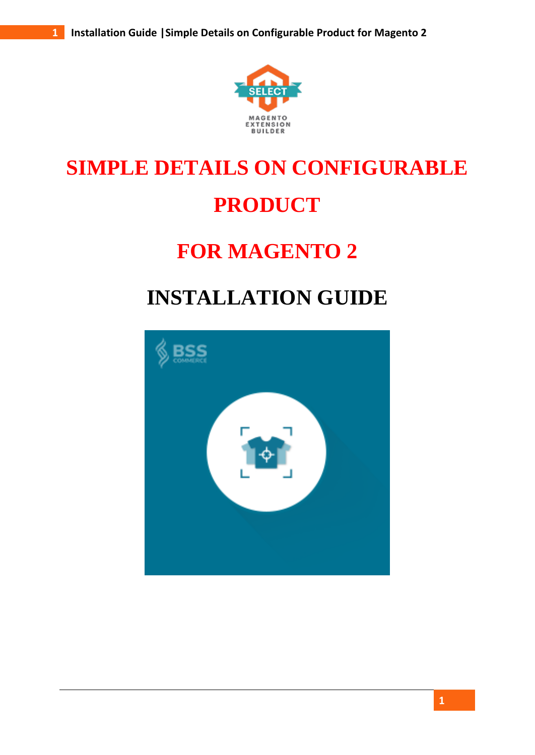

# **SIMPLE DETAILS ON CONFIGURABLE PRODUCT**

### **FOR MAGENTO 2**

## **INSTALLATION GUIDE**

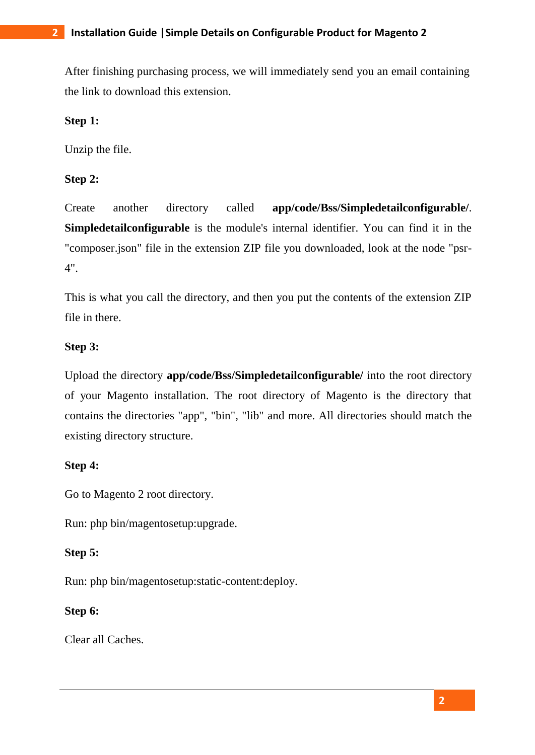After finishing purchasing process, we will immediately send you an email containing the link to download this extension.

#### **Step 1:**

Unzip the file.

#### **Step 2:**

Create another directory called **app/code/Bss/Simpledetailconfigurable/**. **Simpledetailconfigurable** is the module's internal identifier. You can find it in the "composer.json" file in the extension ZIP file you downloaded, look at the node "psr-4".

This is what you call the directory, and then you put the contents of the extension ZIP file in there.

#### **Step 3:**

Upload the directory **app/code/Bss/Simpledetailconfigurable/** into the root directory of your Magento installation. The root directory of Magento is the directory that contains the directories "app", "bin", "lib" and more. All directories should match the existing directory structure.

#### **Step 4:**

Go to Magento 2 root directory.

Run: php bin/magentosetup:upgrade.

#### **Step 5:**

Run: php bin/magentosetup:static-content:deploy.

#### **Step 6:**

Clear all Caches.